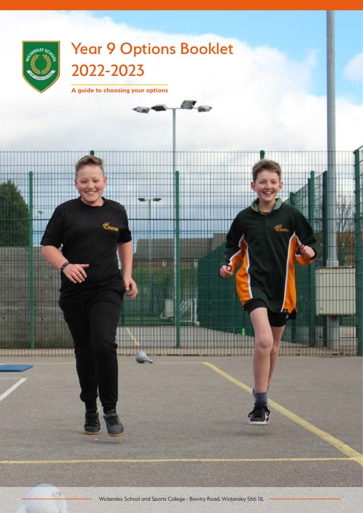

**USB** 

# Year 9 Options Booklet 2022-2023

 $\sim$ 

**A guide to choosing your options**



1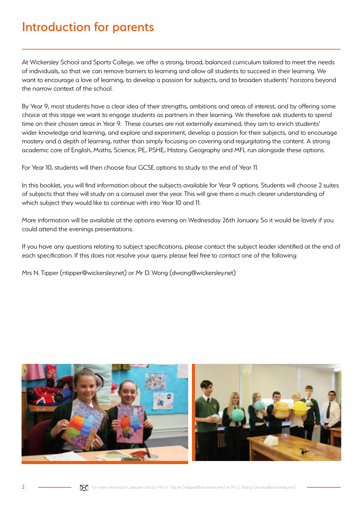## Introduction for parents

At Wickersley School and Sports College, we offer a strong, broad, balanced curriculum tailored to meet the needs of individuals, so that we can remove barriers to learning and allow all students to succeed in their learning. We want to encourage a love of learning, to develop a passion for subjects, and to broaden students' horizons beyond the narrow context of the school.

By Year 9, most students have a clear idea of their strengths, ambitions and areas of interest, and by offering some choice at this stage we want to engage students as partners in their learning. We therefore ask students to spend time on their chosen areas in Year 9. These courses are not externally examined; they aim to enrich students' wider knowledge and learning, and explore and experiment, develop a passion for their subjects, and to encourage mastery and a depth of learning, rather than simply focusing on covering and regurgitating the content. A strong academic core of English, Maths, Science, PE, PSHE, History, Geography and MFL run alongside these options.

For Year 10, students will then choose four GCSE options to study to the end of Year 11.

In this booklet, you will find information about the subjects available for Year 9 options. Students will choose 2 suites of subjects that they will study on a carousel over the year. This will give them a much clearer understanding of which subject they would like to continue with into Year 10 and 11.

More information will be available at the options evening on Wednesday 26th January. So it would be lovely if you could attend the evenings presentations.

If you have any questions relating to subject specifications, please contact the subject leader identified at the end of each specification. If this does not resolve your query, please feel free to contact one of the following:

Mrs N. Tipper (ntipper@wickersley.net) or Mr D. Wong (dwong@wickersley.net)

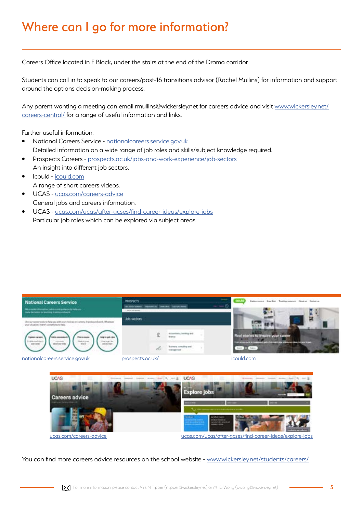# Where can I go for more information?

Careers Office located in F Block, under the stairs at the end of the Drama corridor.

Students can call in to speak to our careers/post-16 transitions advisor (Rachel Mullins) for information and support around the options decision-making process.

Any parent wanting a meeting can email rmullins@wickersley.net for careers advice and visit [www.wickersley.net/](http://www.wickersley.net/careers-central/ ) [careers-central/ f](http://www.wickersley.net/careers-central/ )or a range of useful information and links.

Further useful information:

- National Careers Service [nationalcareers.service.gov.uk](http://nationalcareers.service.gov.uk) Detailed information on a wide range of job roles and skills/subject knowledge required.
- Prospects Careers - [prospects.ac.uk/jobs-and-work-experience/job-sectors](http://prospects.ac.uk/jobs-and-work-experience/job-sectors) An insight into different job sectors.
- Icould [icould.com](http://icould.com) A range of short careers videos.
- UCAS - [ucas.com/careers-advice](http://ucas.com/careers-advice) General jobs and careers information.
- UCAS - [ucas.com/ucas/after-gcses/find-career-ideas/explore-jobs](http://ucas.com/ucas/after-gcses/find-career-ideas/explore-jobs) Particular job roles which can be explored via subject areas.





You can find more careers advice resources on the school website - [www.wickersley.net/students/careers/](http://www.wickersley.net/students/careers/)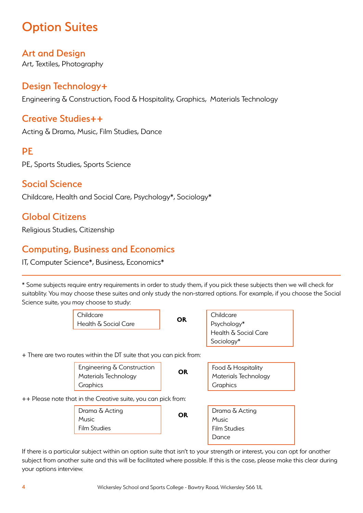# **Option Suites**

### Art and Design

Art, Textiles, Photography

### Design Technology+

Engineering & Construction, Food & Hospitality, Graphics, Materials Technology

### Creative Studies++

Acting & Drama, Music, Film Studies, Dance

### **PE**

PE, Sports Studies, Sports Science

### Social Science

Childcare, Health and Social Care, Psychology\*, Sociology\*

### Global Citizens

Religious Studies, Citizenship

### Computing, Business and Economics

IT, Computer Science\*, Business, Economics\*

\* Some subjects require entry requirements in order to study them, if you pick these subjects then we will check for suitablity. You may choose these suites and only study the non-starred options. For example, if you choose the Social Science suite, you may choose to study:

|                                                               | Childcare<br>Health & Social Care                                  | <b>OR</b> | Childcare<br>Psychology* |  |
|---------------------------------------------------------------|--------------------------------------------------------------------|-----------|--------------------------|--|
|                                                               |                                                                    |           | Health & Social Care     |  |
|                                                               |                                                                    |           | Sociology*               |  |
|                                                               | + There are two routes within the DT suite that you can pick from: |           |                          |  |
|                                                               | Engineering & Construction                                         | <b>OR</b> | Food & Hospitality       |  |
|                                                               | Materials Technology                                               |           | Materials Technology     |  |
|                                                               | Graphics                                                           |           | Graphics                 |  |
| ++ Please note that in the Creative suite, you can pick from: |                                                                    |           |                          |  |
|                                                               | Drama & Acting                                                     | <b>OR</b> | Drama & Acting           |  |
|                                                               | Music                                                              |           | <b>Music</b>             |  |
|                                                               | <b>Film Studies</b>                                                |           | <b>Film Studies</b>      |  |
|                                                               |                                                                    |           | Dance                    |  |
|                                                               |                                                                    |           |                          |  |

If there is a particular subject within an option suite that isn't to your strength or interest, you can opt for another subject from another suite and this will be facilitated where possible. If this is the case, please make this clear during your options interview.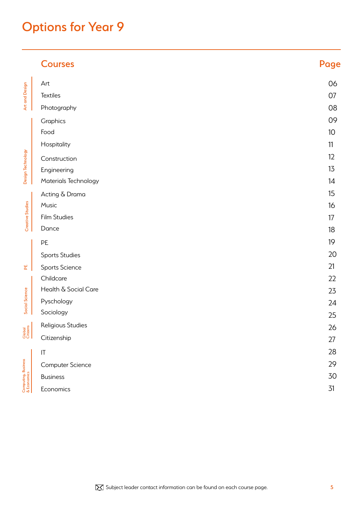# Options for Year 9

|                                                          | <b>Courses</b>         | Page |
|----------------------------------------------------------|------------------------|------|
| Art and Design<br>Design Technology                      | Art                    | 06   |
|                                                          | Textiles               | 07   |
|                                                          | Photography            | 08   |
|                                                          | Graphics               | 09   |
|                                                          | Food                   | 10   |
|                                                          | Hospitality            | 11   |
|                                                          | Construction           | 12   |
|                                                          | Engineering            | 13   |
|                                                          | Materials Technology   | 14   |
| Creative Studies                                         | Acting & Drama         | 15   |
|                                                          | Music                  | 16   |
|                                                          | Film Studies           | 17   |
|                                                          | Dance                  | 18   |
| 뵌<br>Social Science                                      | PE                     | 19   |
|                                                          | <b>Sports Studies</b>  | 20   |
|                                                          | <b>Sports Science</b>  | 21   |
|                                                          | Childcare              | 22   |
|                                                          | Health & Social Care   | 23   |
|                                                          | Pyschology             | 24   |
|                                                          | Sociology              | 25   |
| Global<br>Citizens<br>Computing, Business<br>& Economics | Religious Studies      | 26   |
|                                                          | Citizenship            | 27   |
|                                                          | $\mathsf{I}\mathsf{T}$ | 28   |
|                                                          | Computer Science       | 29   |
|                                                          | <b>Business</b>        | 30   |
|                                                          | Economics              | 31   |

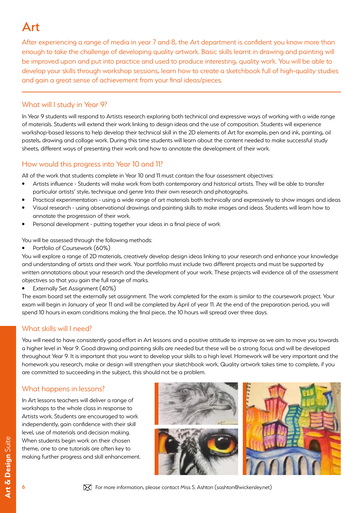# Art

After experiencing a range of media in year 7 and 8, the Art department is confident you know more than enough to take the challenge of developing quality artwork. Basic skills learnt in drawing and painting will be improved upon and put into practice and used to produce interesting, quality work. You will be able to develop your skills through workshop sessions, learn how to create a sketchbook full of high-quality studies and gain a great sense of achievement from your final ideas/pieces.

#### What will I study in Year 9?

In Year 9 students will respond to Artists research exploring both technical and expressive ways of working with a wide range of materials. Students will extend their work linking to design ideas and the use of composition. Students will experience workshop-based lessons to help develop their technical skill in the 2D elements of Art for example, pen and ink, painting, oil pastels, drawing and collage work. During this time students will learn about the content needed to make successful study sheets, different ways of presenting their work and how to annotate the development of their work.

### How would this progress into Year 10 and 11?

All of the work that students complete in Year 10 and 11 must contain the four assessment objectives:

- Artists influence Students will make work from both contemporary and historical artists. They will be able to transfer particular artists' style, technique and genre Into their own research and photographs.
- Practical experimentation using a wide range of art materials both technically and expressively to show images and ideas
- Visual research using observational drawings and painting skills to make images and ideas. Students will learn how to annotate the progression of their work.
- Personal development putting together your ideas in a final piece of work

You will be assessed through the following methods:

• Portfolio of Coursework (60%)

You will explore a range of 2D materials, creatively develop design ideas linking to your research and enhance your knowledge and understanding of artists and their work. Your portfolio must include two different projects and must be supported by written annotations about your research and the development of your work. These projects will evidence all of the assessment objectives so that you gain the full range of marks.

• Externally Set Assignment (40%)

The exam board set the externally set assignment. The work completed for the exam is similar to the coursework project. Your exam will begin in January of year 11 and will be completed by April of year 11. At the end of the preparation period, you will spend 10 hours in exam conditions making the final piece, the 10 hours will spread over three days.

#### What skills will I need?

You will need to have consistently good effort in Art lessons and a positive attitude to improve as we aim to move you towards a higher level in Year 9. Good drawing and painting skills are needed but these will be a strong focus and will be developed throughout Year 9. It is important that you want to develop your skills to a high level. Homework will be very important and the homework you research, make or design will strengthen your sketchbook work. Quality artwork takes time to complete, if you are committed to succeeding in the subject, this should not be a problem.

#### What happens in lessons?

In Art lessons teachers will deliver a range of workshops to the whole class in response to Artists work. Students are encouraged to work independently, gain confidence with their skill level, use of materials and decision making. When students begin work on their chosen theme, one to one tutorials are often key to making further progress and skill enhancement.

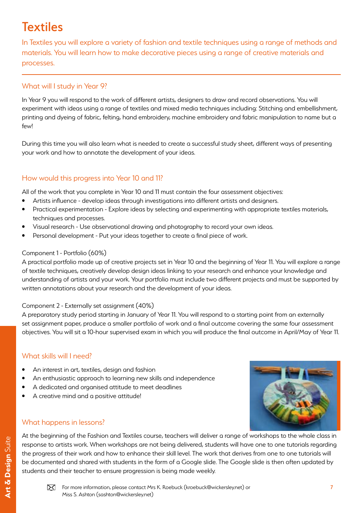# **Textiles**

In Textiles you will explore a variety of fashion and textile techniques using a range of methods and materials. You will learn how to make decorative pieces using a range of creative materials and processes.

### What will I study in Year 9?

In Year 9 you will respond to the work of different artists, designers to draw and record observations. You will experiment with ideas using a range of textiles and mixed media techniques including: Stitching and embellishment, printing and dyeing of fabric, felting, hand embroidery, machine embroidery and fabric manipulation to name but a few!

During this time you will also learn what is needed to create a successful study sheet, different ways of presenting your work and how to annotate the development of your ideas.

### How would this progress into Year 10 and 11?

All of the work that you complete in Year 10 and 11 must contain the four assessment objectives:

- Artists influence develop ideas through investigations into different artists and designers.
- Practical experimentation Explore ideas by selecting and experimenting with appropriate textiles materials, techniques and processes.
- Visual research Use observational drawing and photography to record your own ideas.
- Personal development Put your ideas together to create a final piece of work.

#### Component 1 - Portfolio (60%)

A practical portfolio made up of creative projects set in Year 10 and the beginning of Year 11. You will explore a range of textile techniques, creatively develop design ideas linking to your research and enhance your knowledge and understanding of artists and your work. Your portfolio must include two different projects and must be supported by written annotations about your research and the development of your ideas.

#### Component 2 - Externally set assignment (40%)

A preparatory study period starting in January of Year 11. You will respond to a starting point from an externally set assignment paper, produce a smaller portfolio of work and a final outcome covering the same four assessment objectives. You will sit a 10-hour supervised exam in which you will produce the final outcome in April/May of Year 11.

#### What skills will I need?

- An interest in art, textiles, design and fashion
- An enthusiastic approach to learning new skills and independence
- A dedicated and organised attitude to meet deadlines
- A creative mind and a positive attitude!

#### What happens in lessons?

At the beginning of the Fashion and Textiles course, teachers will deliver a range of workshops to the whole class in response to artists work. When workshops are not being delivered, students will have one to one tutorials regarding the progress of their work and how to enhance their skill level. The work that derives from one to one tutorials will be documented and shared with students in the form of a Google slide. The Google slide is then often updated by students and their teacher to ensure progression is being made weekly.



Art & Design Suite **Art & Design** Suite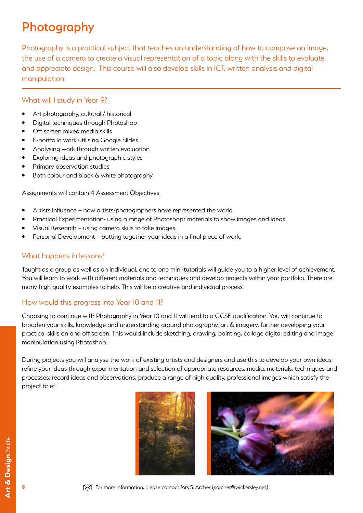# Photography

Photography is a practical subject that teaches an understanding of how to compose an image, the use of a camera to create a visual representation of a topic along with the skills to evaluate and appreciate design. This course will also develop skills in ICT, written analysis and digital manipulation.

#### What will I study in Year 9?

- Art photography, cultural / historical
- Digital techniques through Photoshop
- Off screen mixed media skills
- E-portfolio work utilising Google Slides
- Analysing work through written evaluation
- Exploring ideas and photographic styles
- Primary observation studies
- Both colour and black  $\delta$  white photography

Assignments will contain 4 Assessment Objectives:

- Artists influence how artists/photographers have represented the world.
- Practical Experimentation- using a range of Photoshop/ materials to show images and ideas.
- Visual Research using camera skills to take images.
- Personal Development putting together your ideas in a final piece of work.

#### What happens in lessons?

Taught as a group as well as an individual, one to one mini-tutorials will guide you to a higher level of achievement. You will learn to work with different materials and techniques and develop projects within your portfolio. There are many high quality examples to help. This will be a creative and individual process.

#### How would this progress into Year 10 and 11?

Choosing to continue with Photography in Year 10 and 11 will lead to a GCSE qualification. You will continue to broaden your skills, knowledge and understanding around photography, art & imagery, further developing your practical skills on and off screen. This would include sketching, drawing, painting, collage digital editing and image manipulation using Photoshop.

During projects you will analyse the work of existing artists and designers and use this to develop your own ideas; refine your ideas through experimentation and selection of appropriate resources, media, materials, techniques and processes; record ideas and observations; produce a range of high quality, professional images which satisfy the project brief.

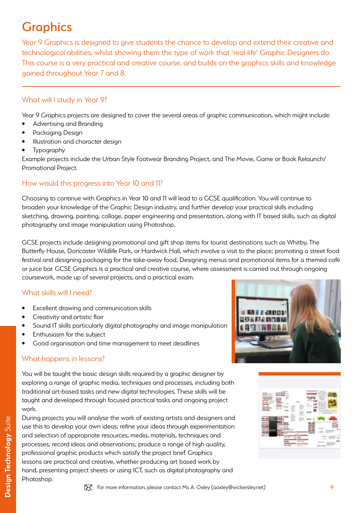# **Graphics**

Year 9 Graphics is designed to give students the chance to develop and extend their creative and technological abilities, whilst showing them the type of work that 'real-life' Graphic Designers do. This course is a very practical and creative course, and builds on the graphics skills and knowledge gained throughout Year 7 and 8.

#### What will I study in Year 9?

Year 9 Graphics projects are designed to cover the several areas of graphic communication, which might include:

- Advertising and Branding
- Packaging Design
- Illustration and character design
- **Typography**

Example projects include the Urban Style Footwear Branding Project, and The Movie, Game or Book Relaunch/ Promotional Project.

### How would this progress into Year 10 and 11?

Choosing to continue with Graphics in Year 10 and 11 will lead to a GCSE qualification. You will continue to broaden your knowledge of the Graphic Design industry, and further develop your practical skills including sketching, drawing, painting, collage, paper engineering and presentation, along with IT based skills, such as digital photography and image manipulation using Photoshop.

GCSE projects include designing promotional and gift shop items for tourist destinations such as Whitby, The Butterfly House, Doncaster Wildlife Park, or Hardwick Hall, which involve a visit to the place; promoting a street food festival and designing packaging for the take-away food; Designing menus and promotional items for a themed café or juice bar. GCSE Graphics is a practical and creative course, where assessment is carried out through ongoing coursework, made up of several projects, and a practical exam.

#### What skills will I need?

- Excellent drawing and communication skills
- Creativity and artistic flair
- Sound IT skills particularly digital photography and image manipulation
- Enthusiasm for the subject
- Good organisation and time management to meet deadlines

#### What happens in lessons?

You will be taught the basic design skills required by a graphic designer by exploring a range of graphic media, techniques and processes, including both traditional art-based tasks and new digital technologies. These skills will be taught and developed through focused practical tasks and ongoing project work.

During projects you will analyse the work of existing artists and designers and use this to develop your own ideas; refine your ideas through experimentation and selection of appropriate resources, media, materials, techniques and processes; record ideas and observations; produce a range of high quality, professional graphic products which satisfy the project brief. Graphics lessons are practical and creative, whether producing art based work by hand, presenting project sheets or using ICT, such as digital photography and Photoshop.





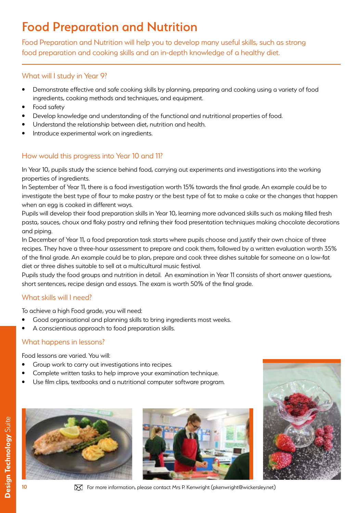# Food Preparation and Nutrition

Food Preparation and Nutrition will help you to develop many useful skills, such as strong food preparation and cooking skills and an in-depth knowledge of a healthy diet.

#### What will I study in Year 9?

- Demonstrate effective and safe cooking skills by planning, preparing and cooking using a variety of food ingredients, cooking methods and techniques, and equipment.
- Food safety
- Develop knowledge and understanding of the functional and nutritional properties of food.
- Understand the relationship between diet, nutrition and health.
- Introduce experimental work on ingredients.

### How would this progress into Year 10 and 11?

In Year 10, pupils study the science behind food, carrying out experiments and investigations into the working properties of ingredients.

In September of Year 11, there is a food investigation worth 15% towards the final grade. An example could be to investigate the best type of flour to make pastry or the best type of fat to make a cake or the changes that happen when an egg is cooked in different ways.

Pupils will develop their food preparation skills in Year 10, learning more advanced skills such as making filled fresh pasta, sauces, choux and flaky pastry and refining their food presentation techniques making chocolate decorations and piping.

In December of Year 11, a food preparation task starts where pupils choose and justify their own choice of three recipes. They have a three-hour assessment to prepare and cook them, followed by a written evaluation worth 35% of the final grade. An example could be to plan, prepare and cook three dishes suitable for someone on a low-fat diet or three dishes suitable to sell at a multicultural music festival.

Pupils study the food groups and nutrition in detail. An examination in Year 11 consists of short answer questions, short sentences, recipe design and essays. The exam is worth 50% of the final grade.

#### What skills will I need?

To achieve a high Food grade, you will need:

- Good organisational and planning skills to bring ingredients most weeks.
- A conscientious approach to food preparation skills.

#### What happens in lessons?

Food lessons are varied. You will:

- Group work to carry out investigations into recipes.
- Complete written tasks to help improve your examination technique.
- Use film clips, textbooks and a nutritional computer software program.







Design Technology Suite **Design Technology** Suite

For more information, please contact Mrs P. Kenwright (pkenwright@wickersley.net)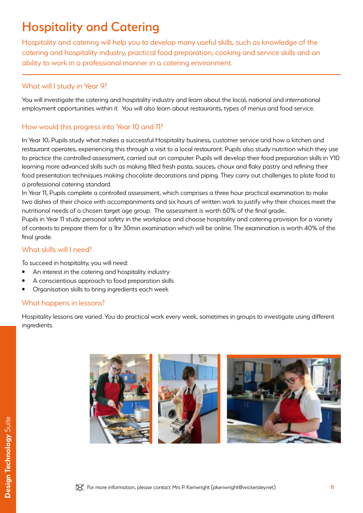# Hospitality and Catering

Hospitality and catering will help you to develop many useful skills, such as knowledge of the catering and hospitality industry, practical food preparation, cooking and service skills and an ability to work in a professional manner in a catering environment.

#### What will I study in Year 9?

You will investigate the catering and hospitality industry and learn about the local, national and international employment opportunities within it. You will also learn about restaurants, types of menus and food service.

#### How would this progress into Year 10 and 11?

In Year 10, Pupils study what makes a successful Hospitality business, customer service and how a kitchen and restaurant operates, experiencing this through a visit to a local restaurant. Pupils also study nutrition which they use to practice the controlled assessment, carried out on computer. Pupils will develop their food preparation skills in Y10 learning more advanced skills such as making filled fresh pasta, sauces, choux and flaky pastry and refining their food presentation techniques making chocolate decorations and piping. They carry out challenges to plate food to a professional catering standard.

In Year 11, Pupils complete a controlled assessment, which comprises a three hour practical examination to make two dishes of their choice with accompaniments and six hours of written work to justify why their choices meet the nutritional needs of a chosen target age group. The assessment is worth 60% of the final grade..

Pupils in Year 11 study personal safety in the workplace and choose hospitality and catering provision for a variety of contexts to prepare them for a 1hr 30min examination which will be online. The examination is worth 40% of the final grade.

#### What skills will I need?

To succeed in hospitality, you will need:

- An interest in the catering and hospitality industry
- A conscientious approach to food preparation skills
- Organisation skills to bring ingredients each week

#### What happens in lessons?

Hospitality lessons are varied. You do practical work every week, sometimes in groups to investigate using different ingredients.

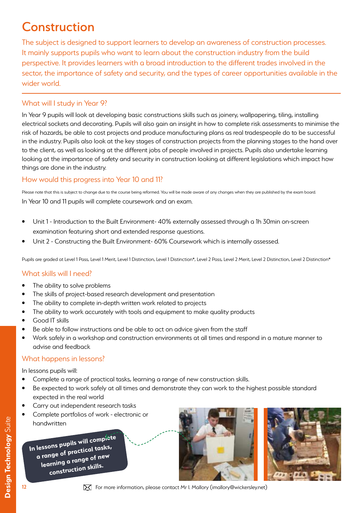# **Construction**

The subject is designed to support learners to develop an awareness of construction processes. It mainly supports pupils who want to learn about the construction industry from the build perspective. It provides learners with a broad introduction to the different trades involved in the sector, the importance of safety and security, and the types of career opportunities available in the wider world.

#### What will I study in Year 9?

In Year 9 pupils will look at developing basic constructions skills such as joinery, wallpapering, tiling, installing electrical sockets and decorating. Pupils will also gain an insight in how to complete risk assessments to minimise the risk of hazards, be able to cost projects and produce manufacturing plans as real tradespeople do to be successful in the industry. Pupils also look at the key stages of construction projects from the planning stages to the hand over to the client, as well as looking at the different jobs of people involved in projects. Pupils also undertake learning looking at the importance of safety and security in construction looking at different legislations which impact how things are done in the industry.

#### How would this progress into Year 10 and 11?

Please note that this is subject to change due to the course being reformed. You will be made aware of any changes when they are published by the exam board. In Year 10 and 11 pupils will complete coursework and an exam.

- Unit 1 Introduction to the Built Environment- 40% externally assessed through a 1h 30min on-screen examination featuring short and extended response questions.
- Unit 2 Constructing the Built Environment- 60% Coursework which is internally assessed.

Pupils are graded at Level 1 Pass, Level 1 Merit, Level 1 Distinction, Level 1 Distinction\*, Level 2 Pass, Level 2 Merit, Level 2 Distinction, Level 2 Distinction\*

#### What skills will I need?

- The ability to solve problems
- The skills of project-based research development and presentation
- The ability to complete in-depth written work related to projects
- The ability to work accurately with tools and equipment to make quality products
- Good IT skills
- Be able to follow instructions and be able to act on advice given from the staff
- Work safely in a workshop and construction environments at all times and respond in a mature manner to advise and feedback

#### What happens in lessons?

In lessons pupils will:

- Complete a range of practical tasks, learning a range of new construction skills.
- Be expected to work safely at all times and demonstrate they can work to the highest possible standard expected in the real world
- Carry out independent research tasks
- Complete portfolios of work electronic or handwritten

**In lessons pupils will complete a range of practical tasks, learning a range of new construction skills.**





 $\mathbf{\Sigma}$  For more information, please contact Mr I. Mallory (imallory@wickersley.net)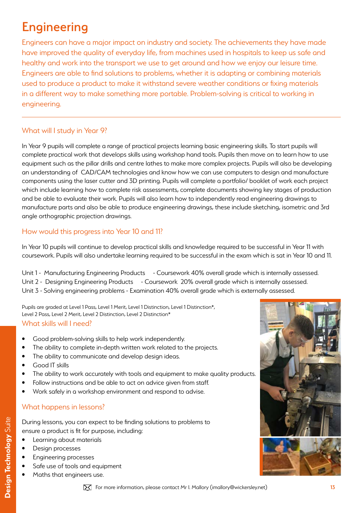# **Engineering**

Engineers can have a major impact on industry and society. The achievements they have made have improved the quality of everyday life, from machines used in hospitals to keep us safe and healthy and work into the transport we use to get around and how we enjoy our leisure time. Engineers are able to find solutions to problems, whether it is adapting or combining materials used to produce a product to make it withstand severe weather conditions or fixing materials in a different way to make something more portable. Problem-solving is critical to working in engineering.

### What will I study in Year 9?

In Year 9 pupils will complete a range of practical projects learning basic engineering skills. To start pupils will complete practical work that develops skills using workshop hand tools. Pupils then move on to learn how to use equipment such as the pillar drills and centre lathes to make more complex projects. Pupils will also be developing an understanding of CAD/CAM technologies and know how we can use computers to design and manufacture components using the laser cutter and 3D printing. Pupils will complete a portfolio/ booklet of work each project which include learning how to complete risk assessments, complete documents showing key stages of production and be able to evaluate their work. Pupils will also learn how to independently read engineering drawings to manufacture parts and also be able to produce engineering drawings, these include sketching, isometric and 3rd angle orthographic projection drawings.

#### How would this progress into Year 10 and 11?

In Year 10 pupils will continue to develop practical skills and knowledge required to be successful in Year 11 with coursework. Pupils will also undertake learning required to be successful in the exam which is sat in Year 10 and 11.

Unit 1 - Manufacturing Engineering Products - Coursework 40% overall grade which is internally assessed. Unit 2 - Designing Engineering Products - Coursework 20% overall grade which is internally assessed. Unit 3 - Solving engineering problems - Examination 40% overall grade which is externally assessed.

Pupils are graded at Level 1 Pass, Level 1 Merit, Level 1 Distinction, Level 1 Distinction\*, Level 2 Pass, Level 2 Merit, Level 2 Distinction, Level 2 Distinction\*

#### What skills will I need?

- Good problem-solving skills to help work independently.
- The ability to complete in-depth written work related to the projects.
- The ability to communicate and develop design ideas.
- Good IT skills
- The ability to work accurately with tools and equipment to make quality products.
- Follow instructions and be able to act on advice given from staff.
- Work safely in a workshop environment and respond to advise.

#### What happens in lessons?

During lessons, you can expect to be finding solutions to problems to ensure a product is fit for purpose, including:

- Learning about materials
- Design processes
- Engineering processes
- Safe use of tools and equipment
- Maths that engineers use.



 $\mathbf{\Sigma}$  For more information, please contact Mr I. Mallory (imallory@wickersley.net)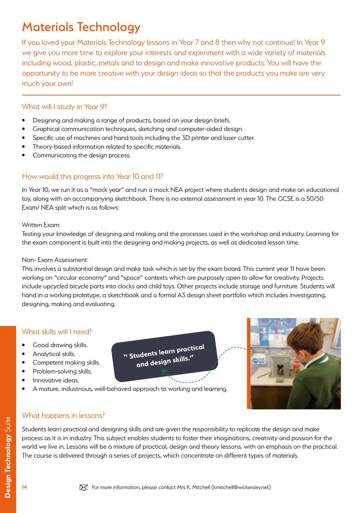# Materials Technology

If you loved your Materials Technology lessons in Year 7 and 8 then why not continue! In Year 9 we give you more time to explore your interests and experiment with a wide variety of materials including wood, plastic, metals and to design and make innovative products. You will have the opportunity to be more creative with your design ideas so that the products you make are very much your own!

#### What will I study in Year 9?

- Designing and making a range of products, based on your design briefs.
- Graphical communication techniques, sketching and computer-aided design.
- Specific use of machines and hand tools including the 3D printer and laser cutter.
- Theory-based information related to specific materials.
- Communicating the design process.

### How would this progress into Year 10 and 11?

In Year 10, we run it as a "mock year" and run a mock NEA project where students design and make an educational toy, along with an accompanying sketchbook. There is no external assessment in year 10. The GCSE is a 50/50 Exam/ NEA split which is as follows:

#### Written Exam:

Testing your knowledge of designing and making and the processes used in the workshop and industry. Learning for the exam component is built into the designing and making projects, as well as dedicated lesson time.

#### Non- Exam Assessment:

This involves a substantial design and make task which is set by the exam board. This current year 11 have been working on "circular economy" and "space" contexts which are purposely open to allow for creativity. Projects include upcycled bicycle parts into clocks and child toys. Other projects include storage and furniture. Students will hand in a working prototype, a sketchbook and a formal A3 design sheet portfolio which includes investigating, designing, making and evaluating.

> **" Students learn practical and design skills."**

### What skills will I need?

- Good drawing skills.
- Analytical skills.
- Competent making skills.
- Problem-solving skills.
- Innovative ideas.
- A mature, industrious, well-behaved approach to working and learning.



#### What happens in lessons?

Students learn practical and designing skills and are given the responsibility to replicate the design and make process as it is in industry. This subject enables students to foster their imaginations, creativity and passion for the world we live in. Lessons will be a mixture of practical, design and theory lessons, with an emphasis on the practical. The course is delivered through a series of projects, which concentrate on different types of materials.

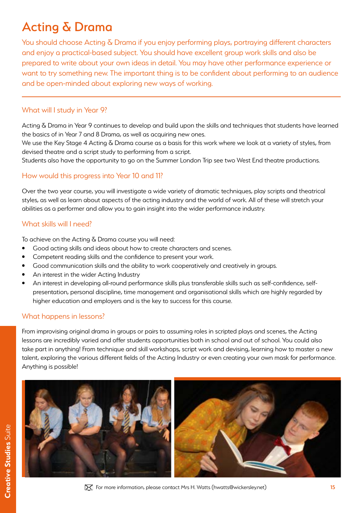# Acting & Drama

You should choose Acting & Drama if you enjoy performing plays, portraying different characters and enjoy a practical-based subject. You should have excellent group work skills and also be prepared to write about your own ideas in detail. You may have other performance experience or want to try something new. The important thing is to be confident about performing to an audience and be open-minded about exploring new ways of working.

#### What will I study in Year 9?

Acting & Drama in Year 9 continues to develop and build upon the skills and techniques that students have learned the basics of in Year 7 and 8 Drama, as well as acquiring new ones.

We use the Key Stage 4 Acting & Drama course as a basis for this work where we look at a variety of styles, from devised theatre and a script study to performing from a script.

Students also have the opportunity to go on the Summer London Trip see two West End theatre productions.

### How would this progress into Year 10 and 11?

Over the two year course, you will investigate a wide variety of dramatic techniques, play scripts and theatrical styles, as well as learn about aspects of the acting industry and the world of work. All of these will stretch your abilities as a performer and allow you to gain insight into the wider performance industry.

#### What skills will I need?

To achieve on the Acting & Drama course you will need:

- Good acting skills and ideas about how to create characters and scenes.
- Competent reading skills and the confidence to present your work.
- Good communication skills and the ability to work cooperatively and creatively in groups.
- An interest in the wider Acting Industry
- An interest in developing all-round performance skills plus transferable skills such as self-confidence, selfpresentation, personal discipline, time management and organisational skills which are highly regarded by higher education and employers and is the key to success for this course.

#### What happens in lessons?

From improvising original drama in groups or pairs to assuming roles in scripted plays and scenes, the Acting lessons are incredibly varied and offer students opportunities both in school and out of school. You could also take part in anything! From technique and skill workshops, script work and devising, learning how to master a new talent, exploring the various different fields of the Acting Industry or even creating your own mask for performance. Anything is possible!

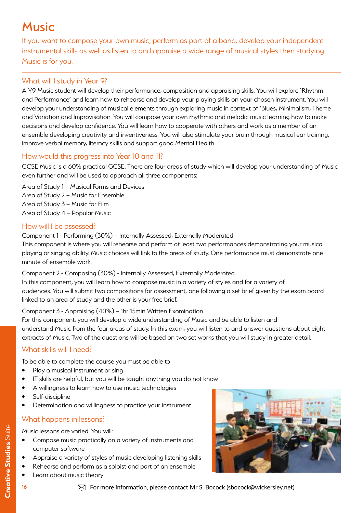# **Music**

If you want to compose your own music, perform as part of a band, develop your independent instrumental skills as well as listen to and appraise a wide range of musical styles then studying Music is for you.

### What will I study in Year 9?

A Y9 Music student will develop their performance, composition and appraising skills. You will explore 'Rhythm and Performance' and learn how to rehearse and develop your playing skills on your chosen instrument. You will develop your understanding of musical elements through exploring music in context of 'Blues, Minimalism, Theme and Variation and Improvisation. You will compose your own rhythmic and melodic music learning how to make decisions and develop confidence. You will learn how to cooperate with others and work as a member of an ensemble developing creativity and inventiveness. You will also stimulate your brain through musical ear training, improve verbal memory, literacy skills and support good Mental Health.

### How would this progress into Year 10 and 11?

GCSE Music is a 60% practical GCSE. There are four areas of study which will develop your understanding of Music even further and will be used to approach all three components:

Area of Study 1 – Musical Forms and Devices Area of Study 2 – Music for Ensemble Area of Study 3 – Music for Film Area of Study 4 – Popular Music

### How will I be assessed?

Component 1 - Performing (30%) – Internally Assessed, Externally Moderated This component is where you will rehearse and perform at least two performances demonstrating your musical playing or singing ability. Music choices will link to the areas of study. One performance must demonstrate one minute of ensemble work.

Component 2 - Composing (30%) - Internally Assessed, Externally Moderated

In this component, you will learn how to compose music in a variety of styles and for a variety of audiences. You will submit two compositions for assessment, one following a set brief given by the exam board linked to an area of study and the other is your free brief.

#### Component 3 - Appraising (40%) – 1hr 15min Written Examination

For this component, you will develop a wide understanding of Music and be able to listen and understand Music from the four areas of study. In this exam, you will listen to and answer questions about eight extracts of Music. Two of the questions will be based on two set works that you will study in greater detail.

#### What skills will I need?

To be able to complete the course you must be able to

- Play a musical instrument or sing
- IT skills are helpful, but you will be taught anything you do not know
- A willingness to learn how to use music technologies
- Self-discipline
- Determination and willingness to practice your instrument

#### What happens in lessons?

Music lessons are varied. You will:

- Compose music practically on a variety of instruments and computer software
- Appraise a variety of styles of music developing listening skills
- Rehearse and perform as a soloist and part of an ensemble
- Learn about music theory



16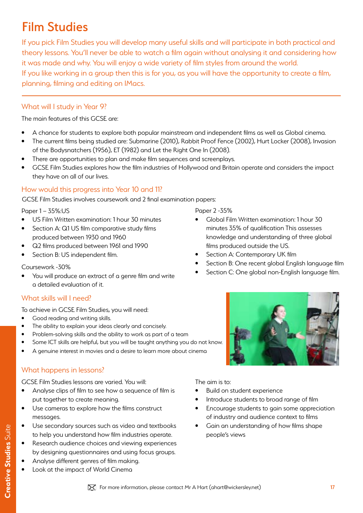# Film Studies

If you pick Film Studies you will develop many useful skills and will participate in both practical and theory lessons. You'll never be able to watch a film again without analysing it and considering how it was made and why. You will enjoy a wide variety of film styles from around the world.

If you like working in a group then this is for you, as you will have the opportunity to create a film, planning, filming and editing on IMacs.

### What will I study in Year 9?

The main features of this GCSE are:

- A chance for students to explore both popular mainstream and independent films as well as Global cinema.
- The current films being studied are: Submarine (2010), Rabbit Proof Fence (2002), Hurt Locker (2008), Invasion of the Bodysnatchers (1956), ET (1982) and Let the Right One In (2008).
- There are opportunities to plan and make film sequences and screenplays.
- GCSE Film Studies explores how the film industries of Hollywood and Britain operate and considers the impact they have on all of our lives.

### How would this progress into Year 10 and 11?

GCSE Film Studies involves coursework and 2 final examination papers:

Paper 1 – 35%:US

- US Film Written examination: 1 hour 30 minutes
- Section A: Q1 US film comparative study films produced between 1930 and 1960
- Q2 films produced between 1961 and 1990
- Section B: US independent film.

#### Coursework -30%

You will produce an extract of a genre film and write a detailed evaluation of it.

#### What skills will I need?

To achieve in GCSE Film Studies, you will need:

- Good reading and writing skills.
- The ability to explain your ideas clearly and concisely.
- Problem-solving skills and the ability to work as part of a team
- Some ICT skills are helpful, but you will be taught anything you do not know.
- A genuine interest in movies and a desire to learn more about cinema

### What happens in lessons?

GCSE Film Studies lessons are varied. You will:

- Analyse clips of film to see how a sequence of film is put together to create meaning.
- Use cameras to explore how the films construct messages.
- Use secondary sources such as video and textbooks to help you understand how film industries operate.
- Research audience choices and viewing experiences by designing questionnaires and using focus groups.
- Analyse different genres of film making.
	- Look at the impact of World Cinema

#### Paper 2 -35%

- Global Film Written examination: 1 hour 30 minutes 35% of qualification This assesses knowledge and understanding of three global films produced outside the US.
- Section A: Contemporary UK film
- Section B: One recent global English language film
- Section C: One global non-English language film.



- Build on student experience
- Introduce students to broad range of film
- Encourage students to gain some appreciation of industry and audience context to films
- Gain an understanding of how films shape people's views

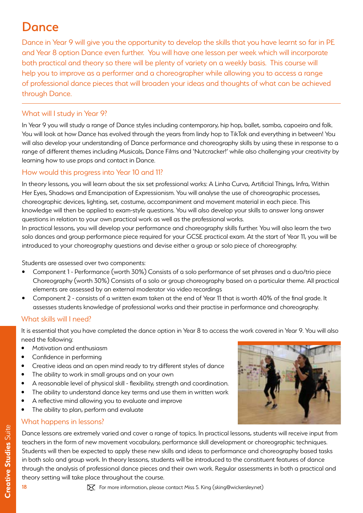# **Dance**

Dance in Year 9 will give you the opportunity to develop the skills that you have learnt so far in PE and Year 8 option Dance even further. You will have one lesson per week which will incorporate both practical and theory so there will be plenty of variety on a weekly basis. This course will help you to improve as a performer and a choreographer while allowing you to access a range of professional dance pieces that will broaden your ideas and thoughts of what can be achieved through Dance.

### What will I study in Year 9?

In Year 9 you will study a range of Dance styles including contemporary, hip hop, ballet, samba, capoeira and folk. You will look at how Dance has evolved through the years from lindy hop to TikTok and everything in between! You will also develop your understanding of Dance performance and choreography skills by using these in response to a range of different themes including Musicals, Dance Films and 'Nutcracker!' while also challenging your creativity by learning how to use props and contact in Dance.

### How would this progress into Year 10 and 11?

In theory lessons, you will learn about the six set professional works: A Linha Curva, Artificial Things, Infra, Within Her Eyes, Shadows and Emancipation of Expressionism. You will analyse the use of choreographic processes, choreographic devices, lighting, set, costume, accompaniment and movement material in each piece. This knowledge will then be applied to exam-style questions. You will also develop your skills to answer long answer questions in relation to your own practical work as well as the professional works.

In practical lessons, you will develop your performance and choreography skills further. You will also learn the two solo dances and group performance piece required for your GCSE practical exam. At the start of Year 11, you will be introduced to your choreography questions and devise either a group or solo piece of choreography.

Students are assessed over two components:

- Component 1 Performance (worth 30%) Consists of a solo performance of set phrases and a duo/trio piece Choreography (worth 30%) Consists of a solo or group choreography based on a particular theme. All practical elements are assessed by an external moderator via video recordings
- Component 2 consists of a written exam taken at the end of Year 11 that is worth 40% of the final grade. It assesses students knowledge of professional works and their practise in performance and choreography.

#### What skills will I need?

It is essential that you have completed the dance option in Year 8 to access the work covered in Year 9. You will also need the following:

- Motivation and enthusiasm
- Confidence in performing
- Creative ideas and an open mind ready to try different styles of dance
- The ability to work in small groups and on your own
- A reasonable level of physical skill flexibility, strength and coordination.
- The ability to understand dance key terms and use them in written work
- A reflective mind allowing you to evaluate and improve
- The ability to plan, perform and evaluate

#### What happens in lessons?

Dance lessons are extremely varied and cover a range of topics. In practical lessons, students will receive input from teachers in the form of new movement vocabulary, performance skill development or choreographic techniques. Students will then be expected to apply these new skills and ideas to performance and choreography based tasks in both solo and group work. In theory lessons, students will be introduced to the constituent features of dance through the analysis of professional dance pieces and their own work. Regular assessments in both a practical and theory setting will take place throughout the course.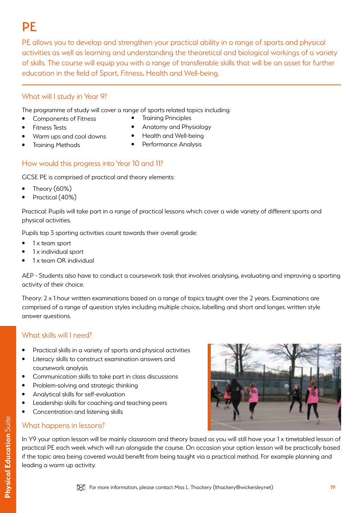# **PF**

PE allows you to develop and strengthen your practical ability in a range of sports and physical activities as well as learning and understanding the theoretical and biological workings of a variety of skills. The course will equip you with a range of transferable skills that will be an asset for further education in the field of Sport, Fitness, Health and Well-being.

### What will I study in Year 9?

The programme of study will cover a range of sports related topics including:

• Components of Fitness

• Training Methods

• Training Principles

• Fitness Tests

- Anatomy and Physiology
- Warm ups and cool downs
- Health and Well-being
- Performance Analysis

### How would this progress into Year 10 and 11?

GCSE PE is comprised of practical and theory elements:

- Theory (60%)
- Practical (40%)

Practical: Pupils will take part in a range of practical lessons which cover a wide variety of different sports and physical activities.

Pupils top 3 sporting activities count towards their overall grade:

- 1 x team sport
- 1 x individual sport
- 1 x team OR individual

AEP - Students also have to conduct a coursework task that involves analysing, evaluating and improving a sporting activity of their choice.

Theory: 2 x 1 hour written examinations based on a range of topics taught over the 2 years. Examinations are comprised of a range of question styles including multiple choice, labelling and short and longer, written style answer questions.

### What skills will I need?

- Practical skills in a variety of sports and physical activities
- Literacy skills to construct examination answers and coursework analysis
- Communication skills to take part in class discussions
- Problem-solving and strategic thinking
- Analytical skills for self-evaluation
- Leadership skills for coaching and teaching peers
- Concentration and listening skills

#### What happens in lessons?

In Y9 your option lesson will be mainly classroom and theory based as you will still have your 1 x timetabled lesson of practical PE each week which will run alongside the course. On occasion your option lesson will be practically based if the topic area being covered would benefit from being taught via a practical method. For example planning and leading a warm up activity.

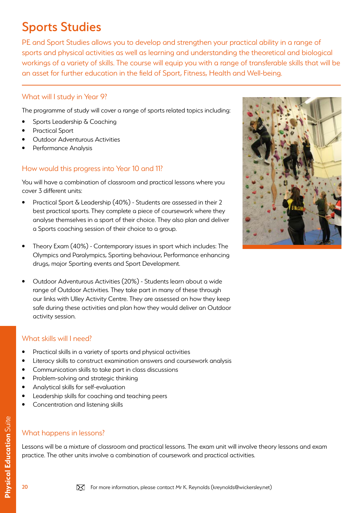# Sports Studies

PE and Sport Studies allows you to develop and strengthen your practical ability in a range of sports and physical activities as well as learning and understanding the theoretical and biological workings of a variety of skills. The course will equip you with a range of transferable skills that will be an asset for further education in the field of Sport, Fitness, Health and Well-being.

#### What will I study in Year 9?

The programme of study will cover a range of sports related topics including:

- Sports Leadership & Coaching
- Practical Sport
- Outdoor Adventurous Activities
- Performance Analysis

### How would this progress into Year 10 and 11?

You will have a combination of classroom and practical lessons where you cover 3 different units:

- Practical Sport & Leadership (40%) Students are assessed in their 2 best practical sports. They complete a piece of coursework where they analyse themselves in a sport of their choice. They also plan and deliver a Sports coaching session of their choice to a group.
- Theory Exam (40%) Contemporary issues in sport which includes: The Olympics and Paralympics, Sporting behaviour, Performance enhancing drugs, major Sporting events and Sport Development.
- Outdoor Adventurous Activities (20%) Students learn about a wide range of Outdoor Activities. They take part in many of these through our links with Ulley Activity Centre. They are assessed on how they keep safe during these activities and plan how they would deliver an Outdoor activity session.

#### What skills will I need?

- Practical skills in a variety of sports and physical activities
- Literacy skills to construct examination answers and coursework analysis
- Communication skills to take part in class discussions
- Problem-solving and strategic thinking
- Analytical skills for self-evaluation
- Leadership skills for coaching and teaching peers
- Concentration and listening skills

#### What happens in lessons?

Lessons will be a mixture of classroom and practical lessons. The exam unit will involve theory lessons and exam practice. The other units involve a combination of coursework and practical activities.

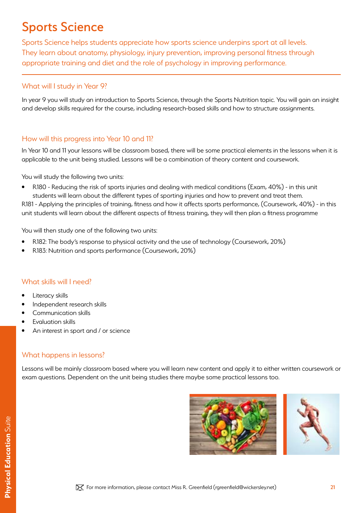# Sports Science

Sports Science helps students appreciate how sports science underpins sport at all levels. They learn about anatomy, physiology, injury prevention, improving personal fitness through appropriate training and diet and the role of psychology in improving performance.

#### What will I study in Year 9?

In year 9 you will study an introduction to Sports Science, through the Sports Nutrition topic. You will gain an insight and develop skills required for the course, including research-based skills and how to structure assignments.

#### How will this progress into Year 10 and 11?

In Year 10 and 11 your lessons will be classroom based, there will be some practical elements in the lessons when it is applicable to the unit being studied. Lessons will be a combination of theory content and coursework.

You will study the following two units:

• R180 - Reducing the risk of sports injuries and dealing with medical conditions (Exam, 40%) - in this unit students will learn about the different types of sporting injuries and how to prevent and treat them.

R181 - Applying the principles of training, fitness and how it affects sports performance, (Coursework, 40%) - in this unit students will learn about the different aspects of fitness training, they will then plan a fitness programme

You will then study one of the following two units:

- R182: The body's response to physical activity and the use of technology (Coursework, 20%)
- R183: Nutrition and sports performance (Coursework, 20%)

#### What skills will I need?

- Literacy skills
- Independent research skills
- Communication skills
- Evaluation skills
- An interest in sport and / or science

#### What happens in lessons?

Lessons will be mainly classroom based where you will learn new content and apply it to either written coursework or exam questions. Dependent on the unit being studies there maybe some practical lessons too.

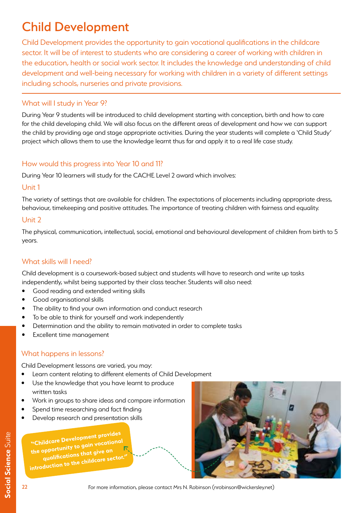# Child Development

Child Development provides the opportunity to gain vocational qualifications in the childcare sector. It will be of interest to students who are considering a career of working with children in the education, health or social work sector. It includes the knowledge and understanding of child development and well-being necessary for working with children in a variety of different settings including schools, nurseries and private provisions.

#### What will I study in Year 9?

During Year 9 students will be introduced to child development starting with conception, birth and how to care for the child developing child. We will also focus on the different areas of development and how we can support the child by providing age and stage appropriate activities. During the year students will complete a 'Child Study' project which allows them to use the knowledge learnt thus far and apply it to a real life case study.

#### How would this progress into Year 10 and 11?

During Year 10 learners will study for the CACHE Level 2 award which involves:

#### Unit 1

The variety of settings that are available for children. The expectations of placements including appropriate dress, behaviour, timekeeping and positive attitudes. The importance of treating children with fairness and equality.

#### Unit 2

The physical, communication, intellectual, social, emotional and behavioural development of children from birth to 5 years.

#### What skills will I need?

Child development is a coursework-based subject and students will have to research and write up tasks independently, whilst being supported by their class teacher. Students will also need:

- Good reading and extended writing skills
- Good organisational skills
- The ability to find your own information and conduct research
- To be able to think for yourself and work independently
- Determination and the ability to remain motivated in order to complete tasks
- Excellent time management

#### What happens in lessons?

Child Development lessons are varied, you may:

- Learn content relating to different elements of Child Development
- Use the knowledge that you have learnt to produce written tasks
- Work in groups to share ideas and compare information
- Spend time researching and fact finding
- Develop research and presentation skills

**"Childcare Development provides the opportunity to gain vocationa<sup>l</sup> qualifications that give an**  introduction to the childcare sector.



For more information, please contact Mrs N. Robinson (nrobinson@wickersley.net)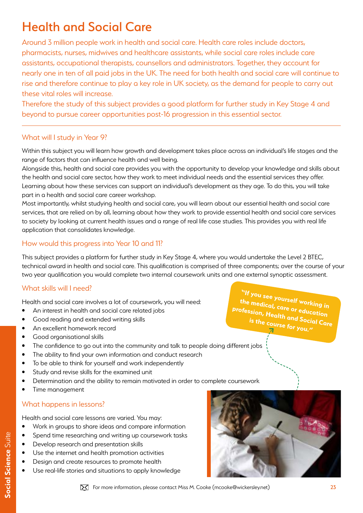# Health and Social Care

Around 3 million people work in health and social care. Health care roles include doctors, pharmacists, nurses, midwives and healthcare assistants, while social care roles include care assistants, occupational therapists, counsellors and administrators. Together, they account for nearly one in ten of all paid jobs in the UK. The need for both health and social care will continue to rise and therefore continue to play a key role in UK society, as the demand for people to carry out these vital roles will increase.

Therefore the study of this subject provides a good platform for further study in Key Stage 4 and beyond to pursue career opportunities post-16 progression in this essential sector.

#### What will I study in Year 9?

Within this subject you will learn how growth and development takes place across an individual's life stages and the range of factors that can influence health and well being.

Alongside this, health and social care provides you with the opportunity to develop your knowledge and skills about the health and social care sector, how they work to meet individual needs and the essential services they offer. Learning about how these services can support an individual's development as they age. To do this, you will take part in a health and social care career workshop.

Most importantly, whilst studying health and social care, you will learn about our essential health and social care services, that are relied on by all, learning about how they work to provide essential health and social care services to society by looking at current health issues and a range of real life case studies. This provides you with real life application that consolidates knowledge.

### How would this progress into Year 10 and 11?

This subject provides a platform for further study in Key Stage 4, where you would undertake the Level 2 BTEC, technical award in health and social care. This qualification is comprised of three components; over the course of your two year qualification you would complete two internal coursework units and one external synoptic assessment.

#### What skills will I need?

Health and social care involves a lot of coursework, you will need:

- An interest in health and social care related jobs
- Good reading and extended writing skills
- An excellent homework record
- Good organisational skills
- The confidence to go out into the community and talk to people doing different jobs
- The ability to find your own information and conduct research
- To be able to think for yourself and work independently
- Study and revise skills for the examined unit
- Determination and the ability to remain motivated in order to complete coursework
- Time management

#### What happens in lessons?

Health and social care lessons are varied. You may:

- Work in groups to share ideas and compare information
- Spend time researching and writing up coursework tasks
- Develop research and presentation skills
- Use the internet and health promotion activities
- Design and create resources to promote health
- Use real-life stories and situations to apply knowledge



**"If you see yourself working in the medical, care or education profession, Health and Social Care is the course for you."**

For more information, please contact Miss M. Cooke (mcooke@wickersley.net)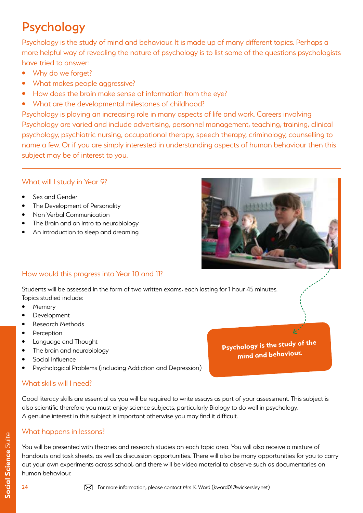# Psychology

Psychology is the study of mind and behaviour. It is made up of many different topics. Perhaps a more helpful way of revealing the nature of psychology is to list some of the questions psychologists have tried to answer:

- Why do we forget?
- What makes people aggressive?
- How does the brain make sense of information from the eye?
- What are the developmental milestones of childhood?

Psychology is playing an increasing role in many aspects of life and work. Careers involving Psychology are varied and include advertising, personnel management, teaching, training, clinical psychology, psychiatric nursing, occupational therapy, speech therapy, criminology, counselling to name a few. Or if you are simply interested in understanding aspects of human behaviour then this subject may be of interest to you.

### What will I study in Year 9?

- Sex and Gender
- The Development of Personality
- Non Verbal Communication
- The Brain and an intro to neurobiology
- An introduction to sleep and dreaming



**Psychology is the study of the mind and behaviour.**

Þ

### How would this progress into Year 10 and 11?

Students will be assessed in the form of two written exams, each lasting for 1 hour 45 minutes. Topics studied include:

- **Memory**
- **Development**
- Research Methods
- Perception
- Language and Thought
- The brain and neurobiology
- Social Influence
- Psychological Problems (including Addiction and Depression)

### What skills will I need?

Good literacy skills are essential as you will be required to write essays as part of your assessment. This subject is also scientific therefore you must enjoy science subjects, particularly Biology to do well in psychology. A genuine interest in this subject is important otherwise you may find it difficult.

### What happens in lessons?

You will be presented with theories and research studies on each topic area. You will also receive a mixture of handouts and task sheets, as well as discussion opportunities. There will also be many opportunities for you to carry out your own experiments across school, and there will be video material to observe such as documentaries on human behaviour.

Social Science Suite **Social Science** Suite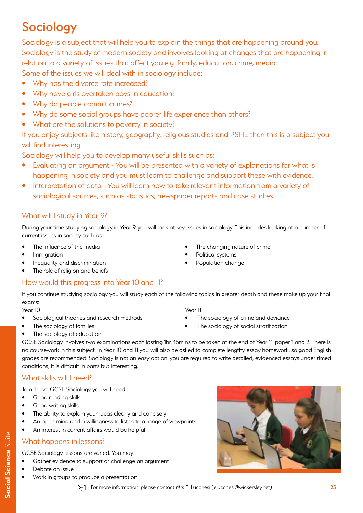# Sociology

Sociology is a subject that will help you to explain the things that are happening around you. Sociology is the study of modern society and involves looking at changes that are happening in relation to a variety of issues that affect you e.g. family, education, crime, media.

Some of the issues we will deal with in sociology include:

- Why has the divorce rate increased?
- Why have girls overtaken boys in education?
- Why do people commit crimes?
- Why do some social groups have poorer life experience than others?
- What are the solutions to poverty in society?

If you enjoy subjects like history, geography, religious studies and PSHE then this is a subject you will find interesting.

Sociology will help you to develop many useful skills such as:

- Evaluating an argument You will be presented with a variety of explanations for what is happening in society and you must learn to challenge and support these with evidence.
- Interpretation of data You will learn how to take relevant information from a variety of sociological sources, such as statistics, newspaper reports and case studies.

### What will I study in Year 9?

During your time studying sociology in Year 9 you will look at key issues in sociology. This includes looking at a number of current issues in society such as:

- The influence of the media
- **Immigration**
- Inequality and discrimination
- The role of religion and beliefs

### How would this progress into Year 10 and 11?

If you continue studying sociology you will study each of the following topics in greater depth and these make up your final exams:

Year 10

- Sociological theories and research methods
- The sociology of families
- Year 11
- The sociology of crime and deviance

The changing nature of crime

Political systems Population change

The sociology of social stratification

• The sociology of education

GCSE Sociology involves two examinations each lasting 1hr 45mins to be taken at the end of Year 11: paper 1 and 2. There is no coursework in this subject. In Year 10 and 11 you will also be asked to complete lengthy essay homework, so good English grades are recommended. Sociology is not an easy option. you are required to write detailed, evidenced essays under timed conditions, It is difficult in parts but interesting.

### What skills will I need?

To achieve GCSE Sociology you will need:

- Good reading skills
- Good writing skills
- The ability to explain your ideas clearly and concisely
- An open mind and a willingness to listen to a range of viewpoints
- An interest in current affairs would be helpful

### What happens in lessons?

GCSE Sociology lessons are varied. You may:

- Gather evidence to support or challenge an argument
- Debate an issue
- Work in groups to produce a presentation

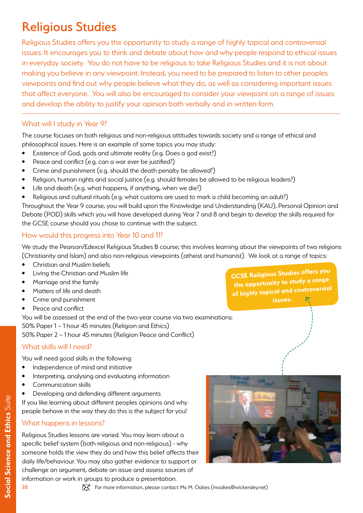# Religious Studies

Religious Studies offers you the opportunity to study a range of highly topical and controversial issues. It encourages you to think and debate about how and why people respond to ethical issues in everyday society. You do not have to be religious to take Religious Studies and it is not about making you believe in any viewpoint. Instead, you need to be prepared to listen to other peoples viewpoints and find out why people believe what they do, as well as considering important issues that affect everyone. You will also be encouraged to consider your viewpoint on a range of issues and develop the ability to justify your opinion both verbally and in written form.

#### What will I study in Year 9?

The course focuses on both religious and non-religious attitudes towards society and a range of ethical and philosophical issues. Here is an example of some topics you may study:

- Existence of God, gods and ultimate reality (e.g. Does a god exist?)
- Peace and conflict (e.g. can a war ever be justified?)
- Crime and punishment (e.g. should the death penalty be allowed?)
- Religion, human rights and social justice (e.g. should females be allowed to be religious leaders?)
- Life and death (e.g. what happens, if anything, when we die?)
- Religious and cultural rituals (e.g. what customs are used to mark a child becoming an adult?)

Throughout the Year 9 course, you will build upon the Knowledge and Understanding (KAU), Personal Opinion and Debate (POD) skills which you will have developed during Year 7 and 8 and begin to develop the skills required for the GCSE course should you chose to continue with the subject.

#### How would this progress into Year 10 and 11?

We study the Pearson/Edexcel Religious Studies B course; this involves learning about the viewpoints of two religions (Christianity and Islam) and also non-religious viewpoints (atheist and humanist). We look at a range of topics:

- Christian and Muslim beliefs
- Living the Christian and Muslim life
- Marriage and the family
- Matters of life and death
- Crime and punishment
- Peace and conflict

You will be assessed at the end of the two-year course via two examinations:

50% Paper 1 – 1 hour 45 minutes (Religion and Ethics)

50% Paper 2 – 1 hour 45 minutes (Religion Peace and Conflict)

#### What skills will I need?

You will need good skills in the following:

- Independence of mind and initiative
- Interpreting, analysing and evaluating information
- Communication skills
- Developing and defending different arguments

If you like learning about different peoples opinions and why people behave in the way they do this is the subject for you!

#### What happens in lessons?

Religious Studies lessons are varied. You may learn about a specific belief system (both religious and non-religious) - why someone holds the view they do and how this belief affects their daily life/behaviour. You may also gather evidence to support or challenge an argument, debate an issue and assess sources of information or work in groups to produce a presentation.

**GCSE Religious Studies offers you the opportunity to study a range of highly topical and controversial** 

For more information, please contact Ms M. Oakes (moakes@wickersley.net)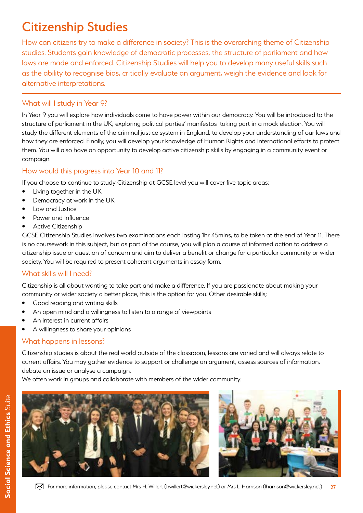# Citizenship Studies

How can citizens try to make a difference in society? This is the overarching theme of Citizenship studies. Students gain knowledge of democratic processes, the structure of parliament and how laws are made and enforced. Citizenship Studies will help you to develop many useful skills such as the ability to recognise bias, critically evaluate an argument, weigh the evidence and look for alternative interpretations.

#### What will I study in Year 9?

In Year 9 you will explore how individuals come to have power within our democracy. You will be introduced to the structure of parliament in the UK; exploring political parties' manifestos taking part in a mock election. You will study the different elements of the criminal justice system in England, to develop your understanding of our laws and how they are enforced. Finally, you will develop your knowledge of Human Rights and international efforts to protect them. You will also have an opportunity to develop active citizenship skills by engaging in a community event or campaign.

### How would this progress into Year 10 and 11?

If you choose to continue to study Citizenship at GCSE level you will cover five topic areas:

- Living together in the UK
- Democracy at work in the UK
- Law and Justice
- Power and Influence
- Active Citizenship

GCSE Citizenship Studies involves two examinations each lasting 1hr 45mins, to be taken at the end of Year 11. There is no coursework in this subject, but as part of the course, you will plan a course of informed action to address a citizenship issue or question of concern and aim to deliver a benefit or change for a particular community or wider society. You will be required to present coherent arguments in essay form.

#### What skills will I need?

Citizenship is all about wanting to take part and make a difference. If you are passionate about making your community or wider society a better place, this is the option for you. Other desirable skills;

- Good reading and writing skills
- An open mind and a willingness to listen to a range of viewpoints
- An interest in current affairs
- A willingness to share your opinions

#### What happens in lessons?

Citizenship studies is about the real world outside of the classroom, lessons are varied and will always relate to current affairs. You may gather evidence to support or challenge an argument, assess sources of information, debate an issue or analyse a campaign.

We often work in groups and collaborate with members of the wider community.



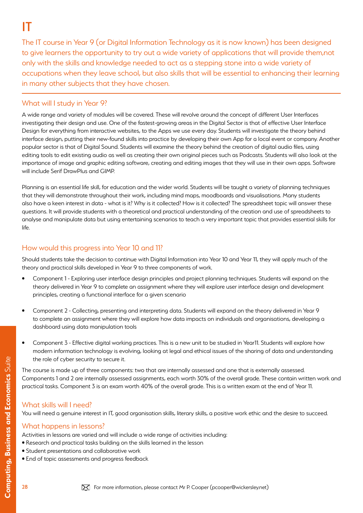# IT

The IT course in Year 9 (or Digital Information Technology as it is now known) has been designed to give learners the opportunity to try out a wide variety of applications that will provide them,not only with the skills and knowledge needed to act as a stepping stone into a wide variety of occupations when they leave school, but also skills that will be essential to enhancing their learning in many other subjects that they have chosen.

### What will I study in Year 9?

A wide range and variety of modules will be covered. These will revolve around the concept of different User Interfaces investigating their design and use. One of the fastest-growing areas in the Digital Sector is that of effective User Interface Design for everything from interactive websites, to the Apps we use every day. Students will investigate the theory behind interface design, putting their new-found skills into practice by developing their own App for a local event or company. Another popular sector is that of Digital Sound. Students will examine the theory behind the creation of digital audio files, using editing tools to edit existing audio as well as creating their own original pieces such as Podcasts. Students will also look at the importance of image and graphic editing software, creating and editing images that they will use in their own apps. Software will include Serif DrawPlus and GIMP.

Planning is an essential life skill, for education and the wider world. Students will be taught a variety of planning techniques that they will demonstrate throughout their work, including mind maps, moodboards and visualisations. Many students also have a keen interest in data - what is it? Why is it collected? How is it collected? The spreadsheet topic will answer these questions. It will provide students with a theoretical and practical understanding of the creation and use of spreadsheets to analyse and manipulate data but using entertaining scenarios to teach a very important topic that provides essential skills for life.

### How would this progress into Year 10 and 11?

Should students take the decision to continue with Digital Information into Year 10 and Year 11, they will apply much of the theory and practical skills developed in Year 9 to three components of work.

- Component 1 Exploring user interface design principles and project planning techniques. Students will expand on the theory delivered in Year 9 to complete an assignment where they will explore user interface design and development principles, creating a functional interface for a given scenario
- Component 2 Collecting, presenting and interpreting data. Students will expand on the theory delivered in Year 9 to complete an assignment where they will explore how data impacts on individuals and organisations, developing a dashboard using data manipulation tools
- Component 3 Effective digital working practices. This is a new unit to be studied in Year11. Students will explore how modern information technology is evolving, looking at legal and ethical issues of the sharing of data and understanding the role of cyber security to secure it.

The course is made up of three components: two that are internally assessed and one that is externally assessed. Components 1 and 2 are internally assessed assignments, each worth 30% of the overall grade. These contain written work and practical tasks. Component 3 is an exam worth 40% of the overall grade. This is a written exam at the end of Year 11.

#### What skills will I need?

You will need a genuine interest in IT, good organisation skills, literary skills, a positive work ethic and the desire to succeed.

#### What happens in lessons?

Activities in lessons are varied and will include a wide range of activities including:

- Research and practical tasks building on the skills learned in the lesson
- Student presentations and collaborative work
- End of topic assessments and progress feedback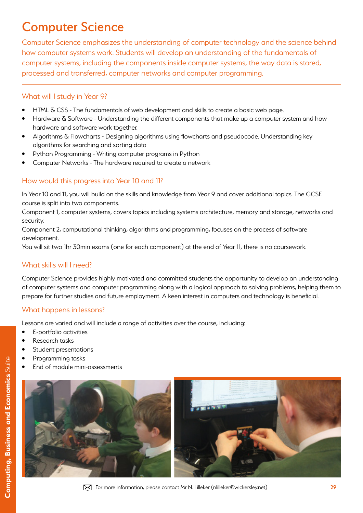# Computer Science

Computer Science emphasizes the understanding of computer technology and the science behind how computer systems work. Students will develop an understanding of the fundamentals of computer systems, including the components inside computer systems, the way data is stored, processed and transferred, computer networks and computer programming.

### What will I study in Year 9?

- HTML & CSS The fundamentals of web development and skills to create a basic web page.
- Hardware & Software Understanding the different components that make up a computer system and how hardware and software work together.
- Algorithms & Flowcharts Designing algorithms using flowcharts and pseudocode. Understanding key algorithms for searching and sorting data
- Python Programming Writing computer programs in Python
- Computer Networks The hardware required to create a network

### How would this progress into Year 10 and 11?

In Year 10 and 11, you will build on the skills and knowledge from Year 9 and cover additional topics. The GCSE course is split into two components.

Component 1, computer systems, covers topics including systems architecture, memory and storage, networks and security.

Component 2, computational thinking, algorithms and programming, focuses on the process of software development.

You will sit two 1hr 30min exams (one for each component) at the end of Year 11, there is no coursework.

#### What skills will I need?

Computer Science provides highly motivated and committed students the opportunity to develop an understanding of computer systems and computer programming along with a logical approach to solving problems, helping them to prepare for further studies and future employment. A keen interest in computers and technology is beneficial.

#### What happens in lessons?

Lessons are varied and will include a range of activities over the course, including:

- E-portfolio activities
- Research tasks
- Student presentations
- Programming tasks
- End of module mini-assessments

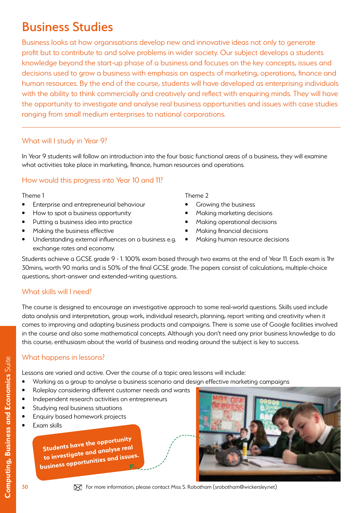# Business Studies

Business looks at how organisations develop new and innovative ideas not only to generate profit but to contribute to and solve problems in wider society. Our subject develops a students knowledge beyond the start-up phase of a business and focuses on the key concepts, issues and decisions used to grow a business with emphasis on aspects of marketing, operations, finance and human resources. By the end of the course, students will have developed as enterprising individuals with the ability to think commercially and creatively and reflect with enquiring minds. They will have the opportunity to investigate and analyse real business opportunities and issues with case studies ranging from small medium enterprises to national corporations.

#### What will I study in Year 9?

In Year 9 students will follow an introduction into the four basic functional areas of a business, they will examine what activities take place in marketing, finance, human resources and operations.

### How would this progress into Year 10 and 11?

#### Theme 1

- Enterprise and entrepreneurial behaviour
- How to spot a business opportunity
- Putting a business idea into practice
- Making the business effective
- Understanding external influences on a business e.g. exchange rates and economy.

Theme 2

- Growing the business
- Making marketing decisions
- Making operational decisions
- Making financial decisions
- Making human resource decisions

Students achieve a GCSE grade 9 - 1. 100% exam based through two exams at the end of Year 11. Each exam is 1hr 30mins, worth 90 marks and is 50% of the final GCSE grade. The papers consist of calculations, multiple-choice questions, short-answer and extended-writing questions.

#### What skills will I need?

The course is designed to encourage an investigative approach to some real-world questions. Skills used include data analysis and interpretation, group work, individual research, planning, report writing and creativity when it comes to improving and adapting business products and campaigns. There is some use of Google facilities involved in the course and also some mathematical concepts. Although you don't need any prior business knowledge to do this course, enthusiasm about the world of business and reading around the subject is key to success.

#### What happens in lessons?

Lessons are varied and active. Over the course of a topic area lessons will include:

- Working as a group to analyse a business scenario and design effective marketing campaigns
- Roleplay considering different customer needs and wants
- Independent research activities on entrepreneurs
- Studying real business situations
- Enquiry based homework projects
- Exam skills

**Students have the opportunity to investigate and analyse rea<sup>l</sup> business opportunities and issues.** 



**Computing, Business and Economics** Suite **Computing, Business and Economics** Suite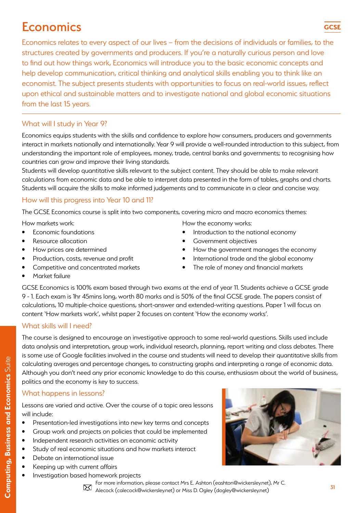# **Economics**

Economics relates to every aspect of our lives – from the decisions of individuals or families, to the structures created by governments and producers. If you're a naturally curious person and love to find out how things work, Economics will introduce you to the basic economic concepts and help develop communication, critical thinking and analytical skills enabling you to think like an economist. The subject presents students with opportunities to focus on real-world issues, reflect upon ethical and sustainable matters and to investigate national and global economic situations from the last 15 years.

### What will I study in Year 9?

Economics equips students with the skills and confidence to explore how consumers, producers and governments interact in markets nationally and internationally. Year 9 will provide a well-rounded introduction to this subject, from understanding the important role of employees, money, trade, central banks and governments; to recognising how countries can grow and improve their living standards.

Students will develop quantitative skills relevant to the subject content. They should be able to make relevant calculations from economic data and be able to interpret data presented in the form of tables, graphs and charts. Students will acquire the skills to make informed judgements and to communicate in a clear and concise way.

### How will this progress into Year 10 and 11?

The GCSE Economics course is split into two components, covering micro and macro economics themes:

- How markets work:
- Economic foundations
- Resource allocation
- How prices are determined
- Production, costs, revenue and profit
- Competitive and concentrated markets
- How the economy works:
- Introduction to the national economy
- Government objectives
- How the government manages the economy
- International trade and the global economy
- The role of money and financial markets

• Market failure

GCSE Economics is 100% exam based through two exams at the end of year 11. Students achieve a GCSE grade 9 - 1. Each exam is 1hr 45mins long, worth 80 marks and is 50% of the final GCSE grade. The papers consist of calculations, 10 multiple-choice questions, short-answer and extended-writing questions. Paper 1 will focus on content 'How markets work', whilst paper 2 focuses on content 'How the economy works'.

#### What skills will I need?

The course is designed to encourage an investigative approach to some real-world questions. Skills used include data analysis and interpretation, group work, individual research, planning, report writing and class debates. There is some use of Google facilities involved in the course and students will need to develop their quantitative skills from calculating averages and percentage changes, to constructing graphs and interpreting a range of economic data. Although you don't need any prior economic knowledge to do this course, enthusiasm about the world of business, politics and the economy is key to success.

### What happens in lessons?

Lessons are varied and active. Over the course of a topic area lessons will include:

- Presentation-led investigations into new key terms and concepts
- Group work and projects on policies that could be implemented
- Independent research activities on economic activity
- Study of real economic situations and how markets interact
- Debate an international issue
- Keeping up with current affairs
- Investigation based homework projects





**Computing, Business and Economics Suite Computing, Business and Economics** Suite

31